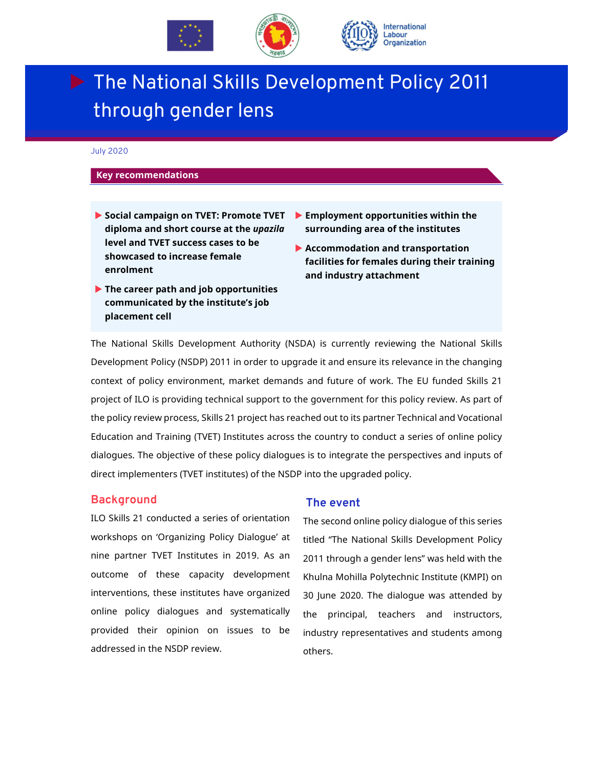

# The National Skills Development Policy 2011 through gender lens

July 2020

#### **Key recommendations**

- **Social campaign on TVET: Promote TVET diploma and short course at the** *upazila* **level and TVET success cases to be showcased to increase female enrolment**
- **Employment opportunities within the surrounding area of the institutes**
- **Accommodation and transportation facilities for females during their training and industry attachment**
- **The career path and job opportunities communicated by the institute's job placement cell**

The National Skills Development Authority (NSDA) is currently reviewing the National Skills Development Policy (NSDP) 2011 in order to upgrade it and ensure its relevance in the changing context of policy environment, market demands and future of work. The EU funded Skills 21 project of ILO is providing technical support to the government for this policy review. As part of the policy review process, Skills 21 project has reached out to its partner Technical and Vocational Education and Training (TVET) Institutes across the country to conduct a series of online policy dialogues. The objective of these policy dialogues is to integrate the perspectives and inputs of direct implementers (TVET institutes) of the NSDP into the upgraded policy.

#### **Background**

ILO Skills 21 conducted a series of orientation workshops on 'Organizing Policy Dialogue' at nine partner TVET Institutes in 2019. As an outcome of these capacity development interventions, these institutes have organized online policy dialogues and systematically provided their opinion on issues to be addressed in the NSDP review.

#### **The event**

The second online policy dialogue of this series titled "The National Skills Development Policy 2011 through a gender lens" was held with the Khulna Mohilla Polytechnic Institute (KMPI) on 30 June 2020. The dialogue was attended by the principal, teachers and instructors, industry representatives and students among others.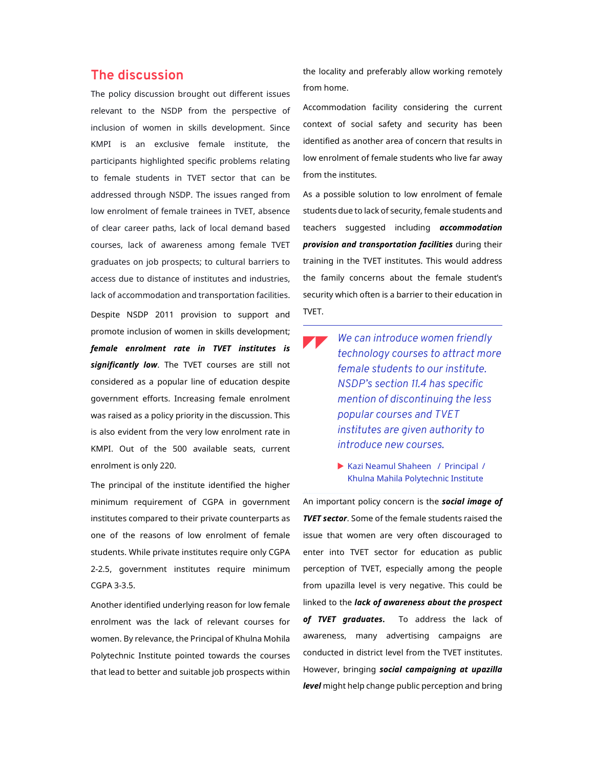### **The discussion**

The policy discussion brought out different issues relevant to the NSDP from the perspective of inclusion of women in skills development. Since KMPI is an exclusive female institute, the participants highlighted specific problems relating to female students in TVET sector that can be addressed through NSDP. The issues ranged from low enrolment of female trainees in TVET, absence of clear career paths, lack of local demand based courses, lack of awareness among female TVET graduates on job prospects; to cultural barriers to access due to distance of institutes and industries, lack of accommodation and transportation facilities. Despite NSDP 2011 provision to support and promote inclusion of women in skills development; *female enrolment rate in TVET institutes is significantly low*. The TVET courses are still not considered as a popular line of education despite government efforts. Increasing female enrolment was raised as a policy priority in the discussion. This is also evident from the very low enrolment rate in KMPI. Out of the 500 available seats, current enrolment is only 220.

The principal of the institute identified the higher minimum requirement of CGPA in government institutes compared to their private counterparts as one of the reasons of low enrolment of female students. While private institutes require only CGPA 2-2.5, government institutes require minimum CGPA 3-3.5.

Another identified underlying reason for low female enrolment was the lack of relevant courses for women. By relevance, the Principal of Khulna Mohila Polytechnic Institute pointed towards the courses that lead to better and suitable job prospects within the locality and preferably allow working remotely from home.

Accommodation facility considering the current context of social safety and security has been identified as another area of concern that results in low enrolment of female students who live far away from the institutes.

As a possible solution to low enrolment of female students due to lack of security, female students and teachers suggested including *accommodation provision and transportation facilities* during their training in the TVET institutes. This would address the family concerns about the female student's security which often is a barrier to their education in TVET.

- *We can introduce women friendly technology courses to attract more female students to our institute. NSDP's section 11.4 has specific mention of discontinuing the less popular courses and TVET institutes are given authority to introduce new courses*.
	- Kazi Neamul Shaheen / Principal / Khulna Mahila Polytechnic Institute

An important policy concern is the *social image of TVET sector*. Some of the female students raised the issue that women are very often discouraged to enter into TVET sector for education as public perception of TVET, especially among the people from upazilla level is very negative. This could be linked to the *lack of awareness about the prospect of TVET graduates***.** To address the lack of awareness, many advertising campaigns are conducted in district level from the TVET institutes. However, bringing *social campaigning at upazilla level* might help change public perception and bring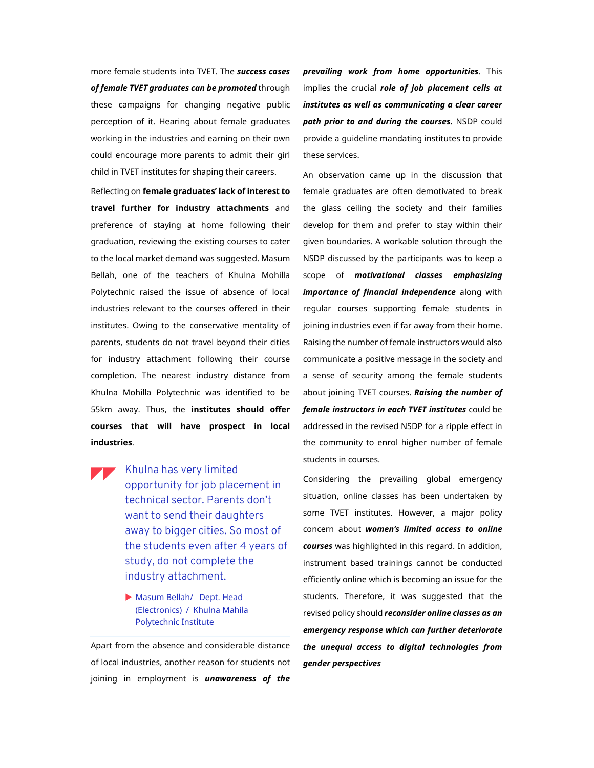more female students into TVET. The *success cases of female TVET graduates can be promoted* through these campaigns for changing negative public perception of it. Hearing about female graduates working in the industries and earning on their own could encourage more parents to admit their girl child in TVET institutes for shaping their careers.

Reflecting on **female graduates' lack of interest to travel further for industry attachments** and preference of staying at home following their graduation, reviewing the existing courses to cater to the local market demand was suggested. Masum Bellah, one of the teachers of Khulna Mohilla Polytechnic raised the issue of absence of local industries relevant to the courses offered in their institutes. Owing to the conservative mentality of parents, students do not travel beyond their cities for industry attachment following their course completion. The nearest industry distance from Khulna Mohilla Polytechnic was identified to be 55km away. Thus, the **institutes should offer courses that will have prospect in local industries**.

- Khulna has very limited opportunity for job placement in technical sector. Parents don't want to send their daughters away to bigger cities. So most of the students even after 4 years of study, do not complete the industry attachment.
	- Masum Bellah/ Dept. Head (Electronics) / Khulna Mahila Polytechnic Institute

Apart from the absence and considerable distance of local industries, another reason for students not joining in employment is *unawareness of the* 

*prevailing work from home opportunities*. This implies the crucial *role of job placement cells at institutes as well as communicating a clear career path prior to and during the courses.* NSDP could provide a guideline mandating institutes to provide these services.

An observation came up in the discussion that female graduates are often demotivated to break the glass ceiling the society and their families develop for them and prefer to stay within their given boundaries. A workable solution through the NSDP discussed by the participants was to keep a scope of *motivational classes emphasizing importance of financial independence* along with regular courses supporting female students in joining industries even if far away from their home. Raising the number of female instructors would also communicate a positive message in the society and a sense of security among the female students about joining TVET courses. *Raising the number of female instructors in each TVET institutes* could be addressed in the revised NSDP for a ripple effect in the community to enrol higher number of female students in courses.

Considering the prevailing global emergency situation, online classes has been undertaken by some TVET institutes. However, a major policy concern about *women's limited access to online courses* was highlighted in this regard. In addition, instrument based trainings cannot be conducted efficiently online which is becoming an issue for the students. Therefore, it was suggested that the revised policy should *reconsider online classes as an emergency response which can further deteriorate the unequal access to digital technologies from gender perspectives*